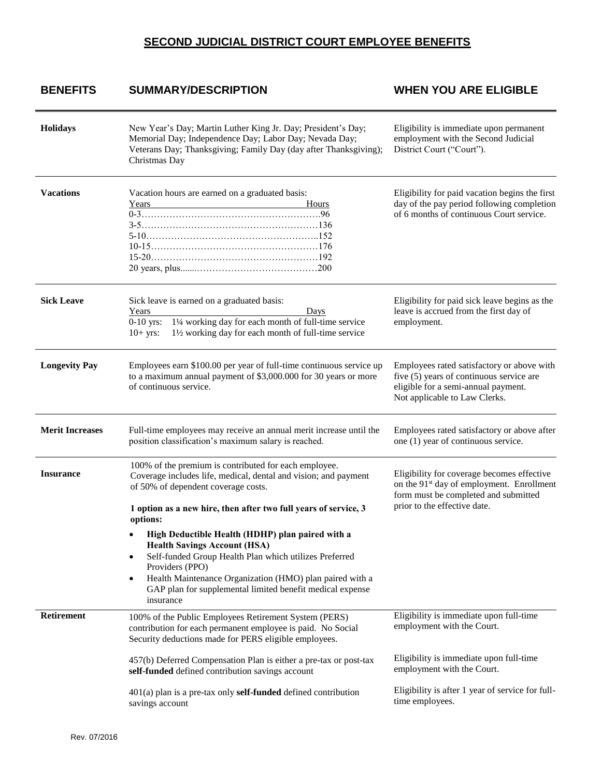## **SECOND JUDICIAL DISTRICT COURT EMPLOYEE BENEFITS**

## **BENEFITS SUMMARY/DESCRIPTION WHEN YOU ARE ELIGIBLE**

| <b>Holidays</b>        | New Year's Day; Martin Luther King Jr. Day; President's Day;<br>Memorial Day; Independence Day; Labor Day; Nevada Day;<br>Veterans Day; Thanksgiving; Family Day (day after Thanksgiving);<br>Christmas Day                                                                                                                         | Eligibility is immediate upon permanent<br>employment with the Second Judicial<br>District Court ("Court").                                                                 |
|------------------------|-------------------------------------------------------------------------------------------------------------------------------------------------------------------------------------------------------------------------------------------------------------------------------------------------------------------------------------|-----------------------------------------------------------------------------------------------------------------------------------------------------------------------------|
| <b>Vacations</b>       | Vacation hours are earned on a graduated basis:                                                                                                                                                                                                                                                                                     | Eligibility for paid vacation begins the first<br>day of the pay period following completion<br>of 6 months of continuous Court service.                                    |
| <b>Sick Leave</b>      | Sick leave is earned on a graduated basis:<br>Years<br>Days<br>0-10 yrs: 1¼ working day for each month of full-time service<br>11/2 working day for each month of full-time service<br>$10+$ yrs:                                                                                                                                   | Eligibility for paid sick leave begins as the<br>leave is accrued from the first day of<br>employment.                                                                      |
| <b>Longevity Pay</b>   | Employees earn \$100.00 per year of full-time continuous service up<br>to a maximum annual payment of \$3,000.000 for 30 years or more<br>of continuous service.                                                                                                                                                                    | Employees rated satisfactory or above with<br>five (5) years of continuous service are<br>eligible for a semi-annual payment.<br>Not applicable to Law Clerks.              |
| <b>Merit Increases</b> | Full-time employees may receive an annual merit increase until the<br>position classification's maximum salary is reached.                                                                                                                                                                                                          | Employees rated satisfactory or above after<br>one (1) year of continuous service.                                                                                          |
| <b>Insurance</b>       | 100% of the premium is contributed for each employee.<br>Coverage includes life, medical, dental and vision; and payment<br>of 50% of dependent coverage costs.<br>1 option as a new hire, then after two full years of service, 3                                                                                                  | Eligibility for coverage becomes effective<br>on the 91 <sup>st</sup> day of employment. Enrollment<br>form must be completed and submitted<br>prior to the effective date. |
|                        | options:<br>High Deductible Health (HDHP) plan paired with a<br><b>Health Savings Account (HSA)</b><br>Self-funded Group Health Plan which utilizes Preferred<br>Providers (PPO)<br>Health Maintenance Organization (HMO) plan paired with a<br>$\bullet$<br>GAP plan for supplemental limited benefit medical expense<br>insurance |                                                                                                                                                                             |
| Retirement             | 100% of the Public Employees Retirement System (PERS)<br>contribution for each permanent employee is paid. No Social<br>Security deductions made for PERS eligible employees.                                                                                                                                                       | Eligibility is immediate upon full-time<br>employment with the Court.                                                                                                       |
|                        | 457(b) Deferred Compensation Plan is either a pre-tax or post-tax<br>self-funded defined contribution savings account                                                                                                                                                                                                               | Eligibility is immediate upon full-time<br>employment with the Court.                                                                                                       |
|                        | $401(a)$ plan is a pre-tax only self-funded defined contribution<br>savings account                                                                                                                                                                                                                                                 | Eligibility is after 1 year of service for full-<br>time employees.                                                                                                         |